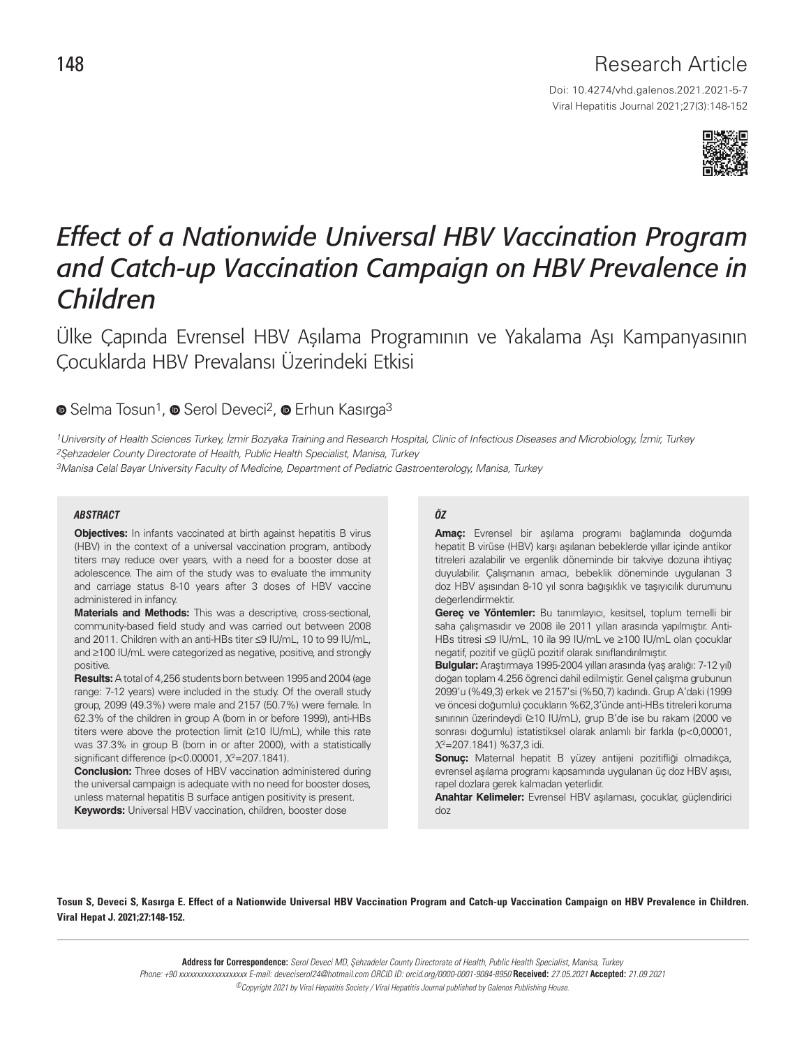## Research Article

Doi: 10.4274/vhd.galenos.2021.2021-5-7 Viral Hepatitis Journal 2021;27(3):148-152



# *Effect of a Nationwide Universal HBV Vaccination Program and Catch-up Vaccination Campaign on HBV Prevalence in Children*

Ülke Çapında Evrensel HBV Aşılama Programının ve Yakalama Aşı Kampanyasının Çocuklarda HBV Prevalansı Üzerindeki Etkisi

### **■**Selma Tosun<sup>1</sup>, ■ Serol Deveci<sup>2</sup>, ■ Erhun Kasırga<sup>3</sup>

1University of Health Sciences Turkey, İzmir Bozyaka Training and Research Hospital, Clinic of Infectious Diseases and Microbiology, İzmir, Turkey 2Şehzadeler County Directorate of Health, Public Health Specialist, Manisa, Turkey

3Manisa Celal Bayar University Faculty of Medicine, Department of Pediatric Gastroenterology, Manisa, Turkey

#### *ABSTRACT ÖZ*

**Objectives:** In infants vaccinated at birth against hepatitis B virus (HBV) in the context of a universal vaccination program, antibody titers may reduce over years, with a need for a booster dose at adolescence. The aim of the study was to evaluate the immunity and carriage status 8-10 years after 3 doses of HBV vaccine administered in infancy.

**Materials and Methods:** This was a descriptive, cross-sectional, community-based field study and was carried out between 2008 and 2011. Children with an anti-HBs titer ≤9 IU/mL, 10 to 99 IU/mL, and ≥100 IU/mL were categorized as negative, positive, and strongly positive.

**Results:** A total of 4,256 students born between 1995 and 2004 (age range: 7-12 years) were included in the study. Of the overall study group, 2099 (49.3%) were male and 2157 (50.7%) were female. In 62.3% of the children in group A (born in or before 1999), anti-HBs titers were above the protection limit (≥10 IU/mL), while this rate was 37.3% in group B (born in or after 2000), with a statistically significant difference (p<0.00001,  $\chi^2$ =207.1841).

**Conclusion:** Three doses of HBV vaccination administered during the universal campaign is adequate with no need for booster doses, unless maternal hepatitis B surface antigen positivity is present. **Keywords:** Universal HBV vaccination, children, booster dose

**Amaç:** Evrensel bir aşılama programı bağlamında doğumda hepatit B virüse (HBV) karşı aşılanan bebeklerde yıllar içinde antikor titreleri azalabilir ve ergenlik döneminde bir takviye dozuna ihtiyaç duyulabilir. Çalışmanın amacı, bebeklik döneminde uygulanan 3 doz HBV aşısından 8-10 yıl sonra bağışıklık ve taşıyıcılık durumunu değerlendirmektir.

**Gereç ve Yöntemler:** Bu tanımlayıcı, kesitsel, toplum temelli bir saha çalışmasıdır ve 2008 ile 2011 yılları arasında yapılmıştır. Anti-HBs titresi ≤9 IU/mL, 10 ila 99 IU/mL ve ≥100 IU/mL olan çocuklar negatif, pozitif ve güçlü pozitif olarak sınıflandırılmıştır.

**Bulgular:** Araştırmaya 1995-2004 yılları arasında (yaş aralığı: 7-12 yıl) doğan toplam 4.256 öğrenci dahil edilmiştir. Genel çalışma grubunun 2099'u (%49,3) erkek ve 2157'si (%50,7) kadındı. Grup A'daki (1999 ve öncesi doğumlu) çocukların %62,3'ünde anti-HBs titreleri koruma sınırının üzerindeydi (≥10 IU/mL), grup B'de ise bu rakam (2000 ve sonrası doğumlu) istatistiksel olarak anlamlı bir farkla (p<0,00001,  $X^2$ =207.1841) %37,3 idi.

**Sonuç:** Maternal hepatit B yüzey antijeni pozitifliği olmadıkça, evrensel aşılama programı kapsamında uygulanan üç doz HBV aşısı, rapel dozlara gerek kalmadan yeterlidir.

**Anahtar Kelimeler:** Evrensel HBV aşılaması, çocuklar, güçlendirici doz

Tosun S, Deveci S, Kasırga E. Effect of a Nationwide Universal HBV Vaccination Program and Catch-up Vaccination Campaign on HBV Prevalence in Children. Viral Hepat J. 2021;27:148-152.

> **Address for Correspondence:** Serol Deveci MD, Şehzadeler County Directorate of Health, Public Health Specialist, Manisa, Turkey Phone: +90 xxxxxxxxxxxxxxxxxxx E-mail: deveciserol24@hotmail.com ORCID ID: orcid.org/0000-0001-9084-8950 **Received:** 27.05.2021 **Accepted:** 21.09.2021 ©Copyright 2021 by Viral Hepatitis Society / Viral Hepatitis Journal published by Galenos Publishing House.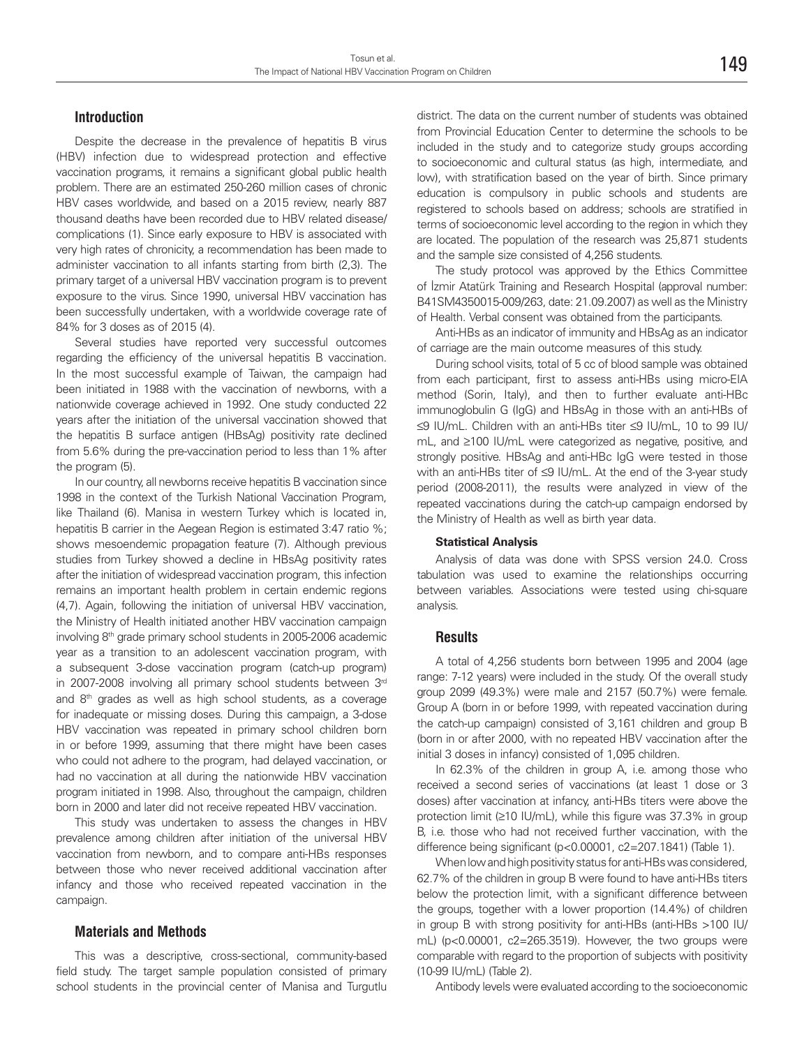#### **Introduction**

Despite the decrease in the prevalence of hepatitis B virus (HBV) infection due to widespread protection and effective vaccination programs, it remains a significant global public health problem. There are an estimated 250-260 million cases of chronic HBV cases worldwide, and based on a 2015 review, nearly 887 thousand deaths have been recorded due to HBV related disease/ complications (1). Since early exposure to HBV is associated with very high rates of chronicity, a recommendation has been made to administer vaccination to all infants starting from birth (2,3). The primary target of a universal HBV vaccination program is to prevent exposure to the virus. Since 1990, universal HBV vaccination has been successfully undertaken, with a worldwide coverage rate of 84% for 3 doses as of 2015 (4).

Several studies have reported very successful outcomes regarding the efficiency of the universal hepatitis B vaccination. In the most successful example of Taiwan, the campaign had been initiated in 1988 with the vaccination of newborns, with a nationwide coverage achieved in 1992. One study conducted 22 years after the initiation of the universal vaccination showed that the hepatitis B surface antigen (HBsAg) positivity rate declined from 5.6% during the pre-vaccination period to less than 1% after the program (5).

In our country, all newborns receive hepatitis B vaccination since 1998 in the context of the Turkish National Vaccination Program, like Thailand (6). Manisa in western Turkey which is located in, hepatitis B carrier in the Aegean Region is estimated 3:47 ratio %; shows mesoendemic propagation feature (7). Although previous studies from Turkey showed a decline in HBsAg positivity rates after the initiation of widespread vaccination program, this infection remains an important health problem in certain endemic regions (4,7). Again, following the initiation of universal HBV vaccination, the Ministry of Health initiated another HBV vaccination campaign involving 8<sup>th</sup> grade primary school students in 2005-2006 academic year as a transition to an adolescent vaccination program, with a subsequent 3-dose vaccination program (catch-up program) in 2007-2008 involving all primary school students between 3rd and 8<sup>th</sup> grades as well as high school students, as a coverage for inadequate or missing doses. During this campaign, a 3-dose HBV vaccination was repeated in primary school children born in or before 1999, assuming that there might have been cases who could not adhere to the program, had delayed vaccination, or had no vaccination at all during the nationwide HBV vaccination program initiated in 1998. Also, throughout the campaign, children born in 2000 and later did not receive repeated HBV vaccination.

This study was undertaken to assess the changes in HBV prevalence among children after initiation of the universal HBV vaccination from newborn, and to compare anti-HBs responses between those who never received additional vaccination after infancy and those who received repeated vaccination in the campaign.

#### **Materials and Methods**

This was a descriptive, cross-sectional, community-based field study. The target sample population consisted of primary school students in the provincial center of Manisa and Turgutlu district. The data on the current number of students was obtained from Provincial Education Center to determine the schools to be included in the study and to categorize study groups according to socioeconomic and cultural status (as high, intermediate, and low), with stratification based on the year of birth. Since primary education is compulsory in public schools and students are registered to schools based on address; schools are stratified in terms of socioeconomic level according to the region in which they are located. The population of the research was 25,871 students and the sample size consisted of 4,256 students.

The study protocol was approved by the Ethics Committee of İzmir Atatürk Training and Research Hospital (approval number: B41SM4350015-009/263, date: 21.09.2007) as well as the Ministry of Health. Verbal consent was obtained from the participants.

Anti-HBs as an indicator of immunity and HBsAg as an indicator of carriage are the main outcome measures of this study.

During school visits, total of 5 cc of blood sample was obtained from each participant, first to assess anti-HBs using micro-EIA method (Sorin, Italy), and then to further evaluate anti-HBc immunoglobulin G (IgG) and HBsAg in those with an anti-HBs of ≤9 IU/mL. Children with an anti-HBs titer ≤9 IU/mL, 10 to 99 IU/ mL, and ≥100 IU/mL were categorized as negative, positive, and strongly positive. HBsAg and anti-HBc IgG were tested in those with an anti-HBs titer of ≤9 IU/mL. At the end of the 3-year study period (2008-2011), the results were analyzed in view of the repeated vaccinations during the catch-up campaign endorsed by the Ministry of Health as well as birth year data.

#### **Statistical Analysis**

Analysis of data was done with SPSS version 24.0. Cross tabulation was used to examine the relationships occurring between variables. Associations were tested using chi-square analysis.

#### **Results**

A total of 4,256 students born between 1995 and 2004 (age range: 7-12 years) were included in the study. Of the overall study group 2099 (49.3%) were male and 2157 (50.7%) were female. Group A (born in or before 1999, with repeated vaccination during the catch-up campaign) consisted of 3,161 children and group B (born in or after 2000, with no repeated HBV vaccination after the initial 3 doses in infancy) consisted of 1,095 children.

In 62.3% of the children in group A, i.e. among those who received a second series of vaccinations (at least 1 dose or 3 doses) after vaccination at infancy, anti-HBs titers were above the protection limit (≥10 IU/mL), while this figure was 37.3% in group B, i.e. those who had not received further vaccination, with the difference being significant (p<0.00001, c2=207.1841) (Table 1).

When low and high positivity status for anti-HBs was considered, 62.7% of the children in group B were found to have anti-HBs titers below the protection limit, with a significant difference between the groups, together with a lower proportion (14.4%) of children in group B with strong positivity for anti-HBs (anti-HBs >100 IU/ mL) (p<0.00001, c2=265.3519). However, the two groups were comparable with regard to the proportion of subjects with positivity (10-99 IU/mL) (Table 2).

Antibody levels were evaluated according to the socioeconomic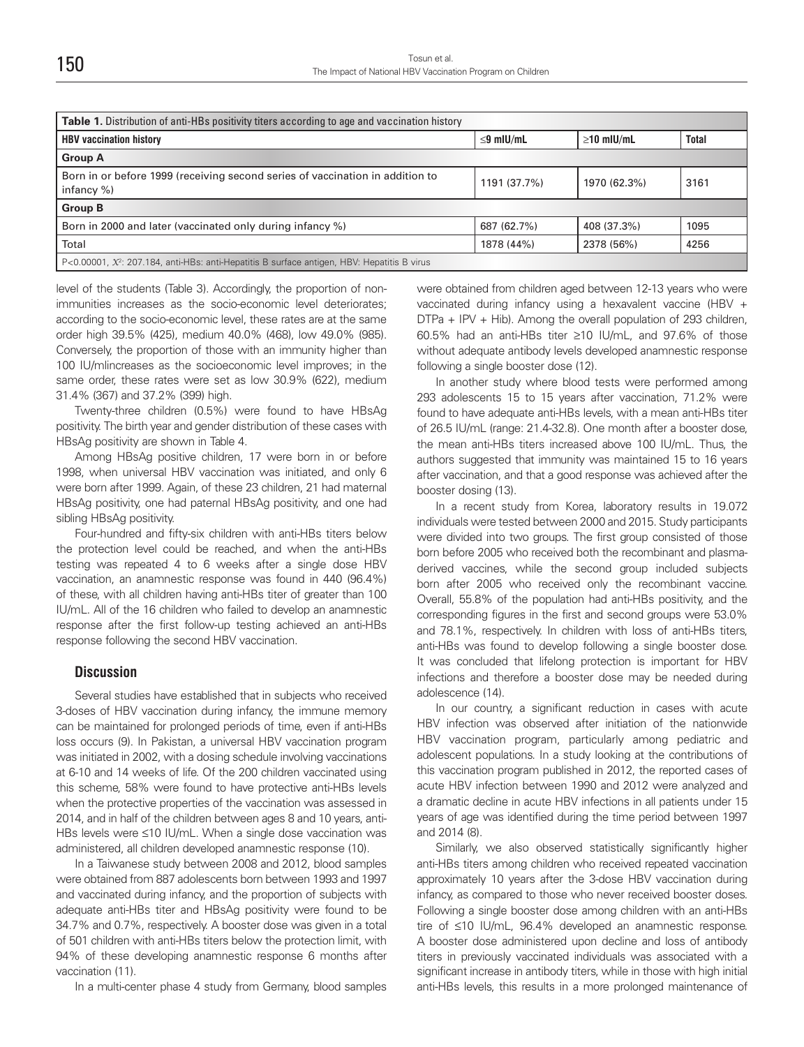| <b>Table 1.</b> Distribution of anti-HBs positivity titers according to age and vaccination history     |                 |                  |              |  |
|---------------------------------------------------------------------------------------------------------|-----------------|------------------|--------------|--|
| <b>HBV vaccination history</b>                                                                          | $\leq$ 9 mIU/mL | $\geq$ 10 mIU/mL | <b>Total</b> |  |
| <b>Group A</b>                                                                                          |                 |                  |              |  |
| Born in or before 1999 (receiving second series of vaccination in addition to<br>infancy $%$ )          | 1191 (37.7%)    | 1970 (62.3%)     | 3161         |  |
| <b>Group B</b>                                                                                          |                 |                  |              |  |
| Born in 2000 and later (vaccinated only during infancy %)                                               | 687 (62.7%)     | 408 (37.3%)      | 1095         |  |
| Total                                                                                                   | 1878 (44%)      | 2378 (56%)       | 4256         |  |
| P<0.00001, X <sup>2</sup> : 207.184, anti-HBs: anti-Hepatitis B surface antigen, HBV: Hepatitis B virus |                 |                  |              |  |

level of the students (Table 3). Accordingly, the proportion of nonimmunities increases as the socio-economic level deteriorates; according to the socio-economic level, these rates are at the same order high 39.5% (425), medium 40.0% (468), low 49.0% (985). Conversely, the proportion of those with an immunity higher than 100 IU/mlincreases as the socioeconomic level improves; in the same order, these rates were set as low 30.9% (622), medium 31.4% (367) and 37.2% (399) high.

Twenty-three children (0.5%) were found to have HBsAg positivity. The birth year and gender distribution of these cases with HBsAg positivity are shown in Table 4.

Among HBsAg positive children, 17 were born in or before 1998, when universal HBV vaccination was initiated, and only 6 were born after 1999. Again, of these 23 children, 21 had maternal HBsAg positivity, one had paternal HBsAg positivity, and one had sibling HBsAg positivity.

Four-hundred and fifty-six children with anti-HBs titers below the protection level could be reached, and when the anti-HBs testing was repeated 4 to 6 weeks after a single dose HBV vaccination, an anamnestic response was found in 440 (96.4%) of these, with all children having anti-HBs titer of greater than 100 IU/mL. All of the 16 children who failed to develop an anamnestic response after the first follow-up testing achieved an anti-HBs response following the second HBV vaccination.

#### **Discussion**

Several studies have established that in subjects who received 3-doses of HBV vaccination during infancy, the immune memory can be maintained for prolonged periods of time, even if anti-HBs loss occurs (9). In Pakistan, a universal HBV vaccination program was initiated in 2002, with a dosing schedule involving vaccinations at 6-10 and 14 weeks of life. Of the 200 children vaccinated using this scheme, 58% were found to have protective anti-HBs levels when the protective properties of the vaccination was assessed in 2014, and in half of the children between ages 8 and 10 years, anti-HBs levels were ≤10 IU/mL. When a single dose vaccination was administered, all children developed anamnestic response (10).

In a Taiwanese study between 2008 and 2012, blood samples were obtained from 887 adolescents born between 1993 and 1997 and vaccinated during infancy, and the proportion of subjects with adequate anti-HBs titer and HBsAg positivity were found to be 34.7% and 0.7%, respectively. A booster dose was given in a total of 501 children with anti-HBs titers below the protection limit, with 94% of these developing anamnestic response 6 months after vaccination (11).

In a multi-center phase 4 study from Germany, blood samples

were obtained from children aged between 12-13 years who were vaccinated during infancy using a hexavalent vaccine (HBV + DTPa + IPV + Hib). Among the overall population of 293 children, 60.5% had an anti-HBs titer ≥10 IU/mL, and 97.6% of those without adequate antibody levels developed anamnestic response following a single booster dose (12).

In another study where blood tests were performed among 293 adolescents 15 to 15 years after vaccination, 71.2% were found to have adequate anti-HBs levels, with a mean anti-HBs titer of 26.5 IU/mL (range: 21.4-32.8). One month after a booster dose, the mean anti-HBs titers increased above 100 IU/mL. Thus, the authors suggested that immunity was maintained 15 to 16 years after vaccination, and that a good response was achieved after the booster dosing (13).

In a recent study from Korea, laboratory results in 19.072 individuals were tested between 2000 and 2015. Study participants were divided into two groups. The first group consisted of those born before 2005 who received both the recombinant and plasmaderived vaccines, while the second group included subjects born after 2005 who received only the recombinant vaccine. Overall, 55.8% of the population had anti-HBs positivity, and the corresponding figures in the first and second groups were 53.0% and 78.1%, respectively. In children with loss of anti-HBs titers, anti-HBs was found to develop following a single booster dose. It was concluded that lifelong protection is important for HBV infections and therefore a booster dose may be needed during adolescence (14).

In our country, a significant reduction in cases with acute HBV infection was observed after initiation of the nationwide HBV vaccination program, particularly among pediatric and adolescent populations. In a study looking at the contributions of this vaccination program published in 2012, the reported cases of acute HBV infection between 1990 and 2012 were analyzed and a dramatic decline in acute HBV infections in all patients under 15 years of age was identified during the time period between 1997 and 2014 (8).

Similarly, we also observed statistically significantly higher anti-HBs titers among children who received repeated vaccination approximately 10 years after the 3-dose HBV vaccination during infancy, as compared to those who never received booster doses. Following a single booster dose among children with an anti-HBs tire of ≤10 IU/mL, 96.4% developed an anamnestic response. A booster dose administered upon decline and loss of antibody titers in previously vaccinated individuals was associated with a significant increase in antibody titers, while in those with high initial anti-HBs levels, this results in a more prolonged maintenance of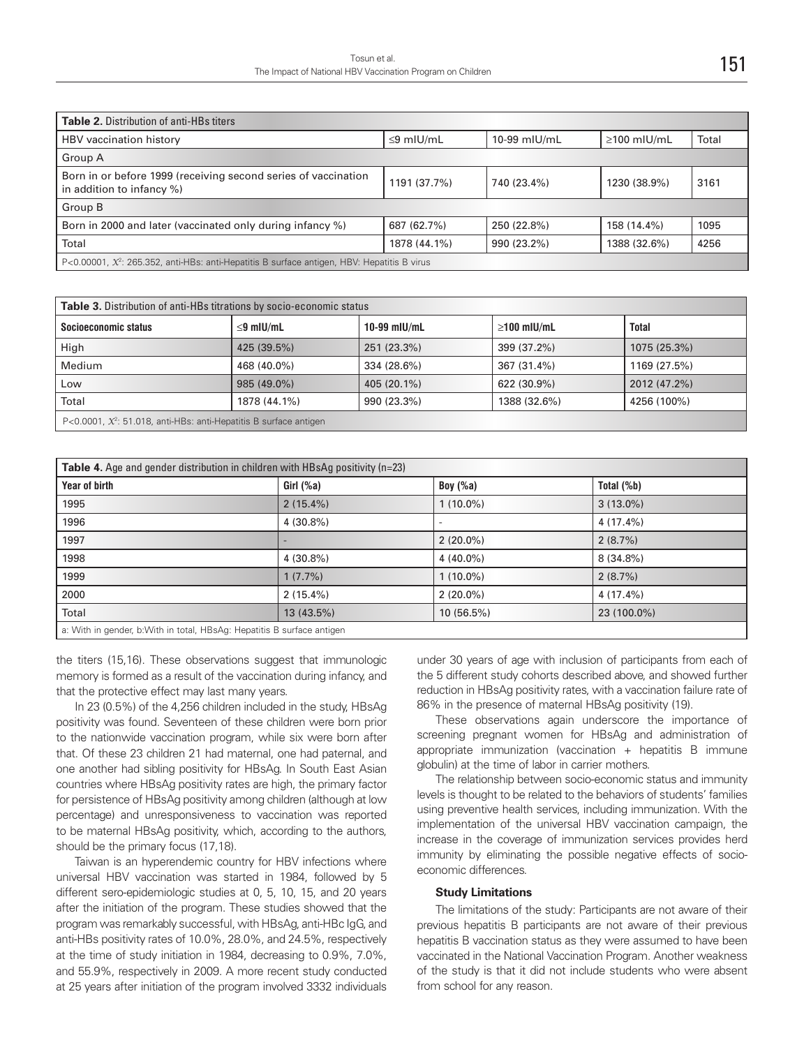| <b>Table 2.</b> Distribution of anti-HBs titers                                                   |                 |              |                   |       |  |
|---------------------------------------------------------------------------------------------------|-----------------|--------------|-------------------|-------|--|
| HBV vaccination history                                                                           | $\leq$ 9 mlU/mL | 10-99 mIU/mL | $\geq$ 100 mIU/mL | Total |  |
| Group A                                                                                           |                 |              |                   |       |  |
| Born in or before 1999 (receiving second series of vaccination<br>in addition to infancy $\%$ )   | 1191 (37.7%)    | 740 (23.4%)  | 1230 (38.9%)      | 3161  |  |
| Group B                                                                                           |                 |              |                   |       |  |
| Born in 2000 and later (vaccinated only during infancy %)                                         | 687 (62.7%)     | 250 (22.8%)  | 158 (14.4%)       | 1095  |  |
| Total                                                                                             | 1878 (44.1%)    | 990 (23.2%)  | 1388 (32.6%)      | 4256  |  |
| P<0.00001, $\chi^2$ : 265.352, anti-HBs: anti-Hepatitis B surface antigen, HBV: Hepatitis B virus |                 |              |                   |       |  |

| Table 3. Distribution of anti-HBs titrations by socio-economic status          |                 |                |                   |              |
|--------------------------------------------------------------------------------|-----------------|----------------|-------------------|--------------|
| Socioeconomic status                                                           | $\leq$ 9 mIU/mL | $10-99$ mIU/mL | $\geq$ 100 mIU/mL | Total        |
| High                                                                           | 425 (39.5%)     | 251 (23.3%)    | 399 (37.2%)       | 1075 (25.3%) |
| Medium                                                                         | 468 (40.0%)     | 334 (28.6%)    | 367 (31.4%)       | 1169 (27.5%) |
| Low                                                                            | 985 (49.0%)     | 405 (20.1%)    | 622 (30.9%)       | 2012 (47.2%) |
| Total                                                                          | 1878 (44.1%)    | 990 (23.3%)    | 1388 (32.6%)      | 4256 (100%)  |
| P<0.0001, $\mathcal{X}^2$ : 51.018, anti-HBs: anti-Hepatitis B surface antigen |                 |                |                   |              |

| <b>Table 4.</b> Age and gender distribution in children with HBsAg positivity ( $n=23$ ) |              |             |               |  |
|------------------------------------------------------------------------------------------|--------------|-------------|---------------|--|
| Year of birth                                                                            | Girl $($ %a) | Boy $(\%a)$ | Total $(\%b)$ |  |
| 1995                                                                                     | $2(15.4\%)$  | $1(10.0\%)$ | $3(13.0\%)$   |  |
| 1996                                                                                     | $4(30.8\%)$  |             | 4 (17.4%)     |  |
| 1997                                                                                     |              | $2(20.0\%)$ | 2(8.7%)       |  |
| 1998                                                                                     | $4(30.8\%)$  | $4(40.0\%)$ | $8(34.8\%)$   |  |
| 1999                                                                                     | 1(7.7%)      | $1(10.0\%)$ | 2(8.7%)       |  |
| 2000                                                                                     | $2(15.4\%)$  | $2(20.0\%)$ | 4 (17.4%)     |  |
| Total                                                                                    | 13 (43.5%)   | 10 (56.5%)  | 23 (100.0%)   |  |
| a: With in gender b: With in total HBsAg: Henatitis B surface antigen                    |              |             |               |  |

a: With in gender, b:With in total, HBsAg: Hepatitis B surface antigen

the titers (15,16). These observations suggest that immunologic memory is formed as a result of the vaccination during infancy, and that the protective effect may last many years.

In 23 (0.5%) of the 4,256 children included in the study, HBsAg positivity was found. Seventeen of these children were born prior to the nationwide vaccination program, while six were born after that. Of these 23 children 21 had maternal, one had paternal, and one another had sibling positivity for HBsAg. In South East Asian countries where HBsAg positivity rates are high, the primary factor for persistence of HBsAg positivity among children (although at low percentage) and unresponsiveness to vaccination was reported to be maternal HBsAg positivity, which, according to the authors, should be the primary focus (17,18).

Taiwan is an hyperendemic country for HBV infections where universal HBV vaccination was started in 1984, followed by 5 different sero-epidemiologic studies at 0, 5, 10, 15, and 20 years after the initiation of the program. These studies showed that the program was remarkably successful, with HBsAg, anti-HBc IgG, and anti-HBs positivity rates of 10.0%, 28.0%, and 24.5%, respectively at the time of study initiation in 1984, decreasing to 0.9%, 7.0%, and 55.9%, respectively in 2009. A more recent study conducted at 25 years after initiation of the program involved 3332 individuals under 30 years of age with inclusion of participants from each of the 5 different study cohorts described above, and showed further reduction in HBsAg positivity rates, with a vaccination failure rate of 86% in the presence of maternal HBsAg positivity (19).

These observations again underscore the importance of screening pregnant women for HBsAg and administration of appropriate immunization (vaccination  $+$  hepatitis B immune globulin) at the time of labor in carrier mothers.

The relationship between socio-economic status and immunity levels is thought to be related to the behaviors of students' families using preventive health services, including immunization. With the implementation of the universal HBV vaccination campaign, the increase in the coverage of immunization services provides herd immunity by eliminating the possible negative effects of socioeconomic differences.

#### **Study Limitations**

The limitations of the study: Participants are not aware of their previous hepatitis B participants are not aware of their previous hepatitis B vaccination status as they were assumed to have been vaccinated in the National Vaccination Program. Another weakness of the study is that it did not include students who were absent from school for any reason.